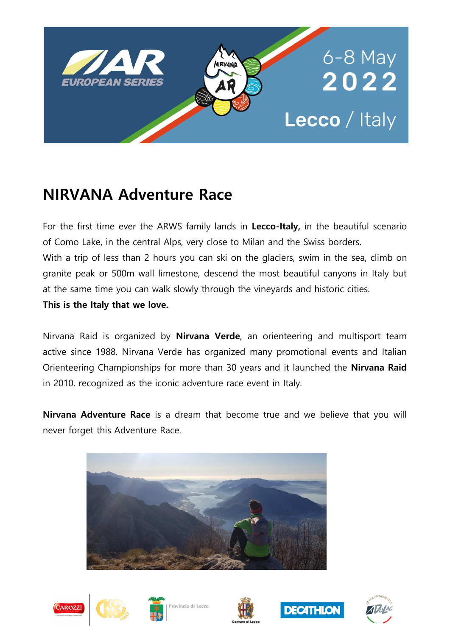

# **NIRVANA Adventure Race**

For the first time ever the ARWS family lands in **Lecco-Italy,** in the beautiful scenario of Como Lake, in the central Alps, very close to Milan and the Swiss borders. With a trip of less than 2 hours you can ski on the glaciers, swim in the sea, climb on granite peak or 500m wall limestone, descend the most beautiful canyons in Italy but at the same time you can walk slowly through the vineyards and historic cities. **This is the Italy that we love.**

Nirvana Raid is organized by **Nirvana Verde**, an orienteering and multisport team active since 1988. Nirvana Verde has organized many promotional events and Italian Orienteering Championships for more than 30 years and it launched the **Nirvana Raid** in 2010, recognized as the iconic adventure race event in Italy.

**Nirvana Adventure Race** is a dream that become true and we believe that you will never forget this Adventure Race.













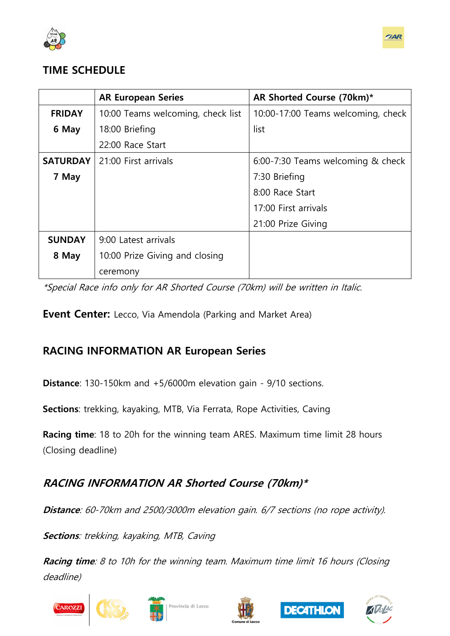



# **TIME SCHEDULE**

|                 | <b>AR European Series</b>         | AR Shorted Course (70km)*          |
|-----------------|-----------------------------------|------------------------------------|
| <b>FRIDAY</b>   | 10:00 Teams welcoming, check list | 10:00-17:00 Teams welcoming, check |
| 6 May           | 18:00 Briefing                    | list                               |
|                 | 22:00 Race Start                  |                                    |
| <b>SATURDAY</b> | 21:00 First arrivals              | 6:00-7:30 Teams welcoming & check  |
| 7 May           |                                   | 7:30 Briefing                      |
|                 |                                   | 8:00 Race Start                    |
|                 |                                   | 17:00 First arrivals               |
|                 |                                   | 21:00 Prize Giving                 |
| <b>SUNDAY</b>   | 9:00 Latest arrivals              |                                    |
| 8 May           | 10:00 Prize Giving and closing    |                                    |
|                 | ceremony                          |                                    |

\*Special Race info only for AR Shorted Course (70km) will be written in Italic.

**Event Center:** Lecco, Via Amendola (Parking and Market Area)

# **RACING INFORMATION AR European Series**

**Distance**: 130-150km and +5/6000m elevation gain - 9/10 sections.

**Sections**: trekking, kayaking, MTB, Via Ferrata, Rope Activities, Caving

**Racing time**: 18 to 20h for the winning team ARES. Maximum time limit 28 hours (Closing deadline)

# **RACING INFORMATION AR Shorted Course (70km)\***

**Distance**: 60-70km and 2500/3000m elevation gain. 6/7 sections (no rope activity).

**Sections**: trekking, kayaking, MTB, Caving

**Racing time**: 8 to 10h for the winning team. Maximum time limit 16 hours (Closing deadline)









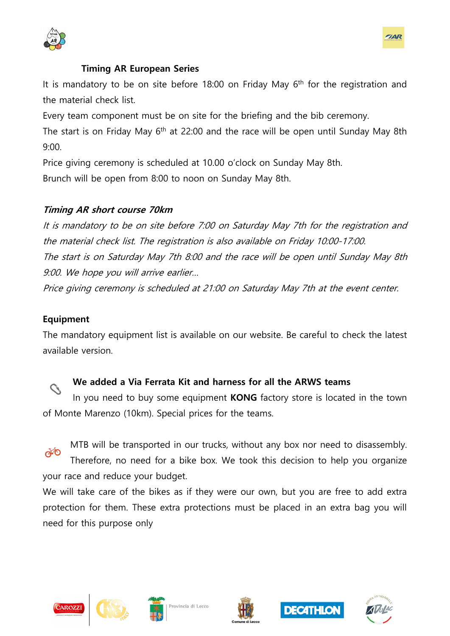

#### **Timing AR European Series**

It is mandatory to be on site before 18:00 on Friday May  $6<sup>th</sup>$  for the registration and the material check list.

Every team component must be on site for the briefing and the bib ceremony.

The start is on Friday May  $6<sup>th</sup>$  at 22:00 and the race will be open until Sunday May 8th 9:00.

Price giving ceremony is scheduled at 10.00 o'clock on Sunday May 8th.

Brunch will be open from 8:00 to noon on Sunday May 8th.

#### **Timing AR short course 70km**

It is mandatory to be on site before 7:00 on Saturday May 7th for the registration and the material check list. The registration is also available on Friday 10:00-17:00. The start is on Saturday May 7th 8:00 and the race will be open until Sunday May 8th 9:00. We hope you will arrive earlier…

Price giving ceremony is scheduled at 21:00 on Saturday May 7th at the event center.

#### **Equipment**

The mandatory equipment list is available on our website. Be careful to check the latest available version.

## **We added a Via Ferrata Kit and harness for all the ARWS teams**

In you need to buy some equipment **KONG** factory store is located in the town of Monte Marenzo (10km). Special prices for the teams.



MTB will be transported in our trucks, without any box nor need to disassembly. Therefore, no need for a bike box. We took this decision to help you organize

your race and reduce your budget.

We will take care of the bikes as if they were our own, but you are free to add extra protection for them. These extra protections must be placed in an extra bag you will need for this purpose only









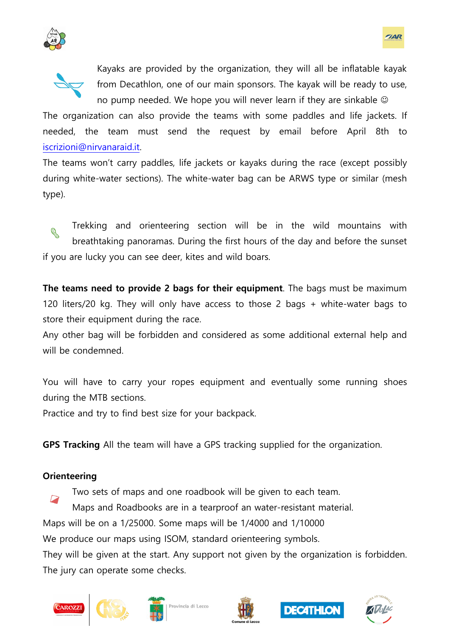



Kayaks are provided by the organization, they will all be inflatable kayak from Decathlon, one of our main sponsors. The kayak will be ready to use, no pump needed. We hope you will never learn if they are sinkable  $\odot$ 

The organization can also provide the teams with some paddles and life jackets. If needed, the team must send the request by email before April 8th to [iscrizioni@nirvanaraid.it.](file:///C:/Users/mario/Documents/iscrizioni@nirvanaraid.it)

The teams won't carry paddles, life jackets or kayaks during the race (except possibly during white-water sections). The white-water bag can be ARWS type or similar (mesh type).

Trekking and orienteering section will be in the wild mountains with R breathtaking panoramas. During the first hours of the day and before the sunset if you are lucky you can see deer, kites and wild boars.

**The teams need to provide 2 bags for their equipment**. The bags must be maximum 120 liters/20 kg. They will only have access to those 2 bags + white-water bags to store their equipment during the race.

Any other bag will be forbidden and considered as some additional external help and will be condemned.

You will have to carry your ropes equipment and eventually some running shoes during the MTB sections.

Practice and try to find best size for your backpack.

**GPS Tracking** All the team will have a GPS tracking supplied for the organization.

#### **Orienteering**

Two sets of maps and one roadbook will be given to each team. Maps and Roadbooks are in a tearproof an water-resistant material.

Maps will be on a 1/25000. Some maps will be 1/4000 and 1/10000

We produce our maps using ISOM, standard orienteering symbols.

They will be given at the start. Any support not given by the organization is forbidden. The jury can operate some checks.





ovincia di Lecco





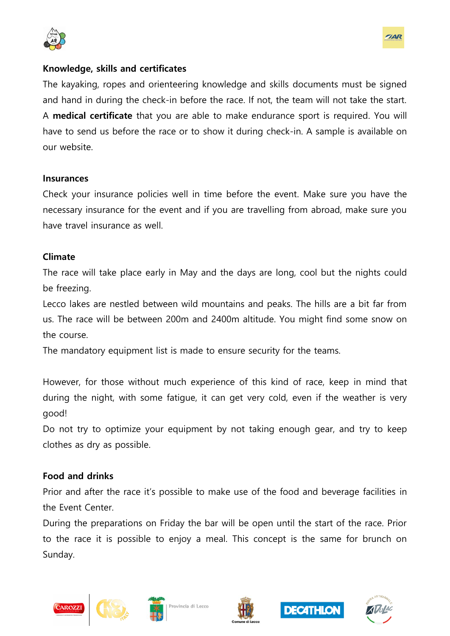



#### **Knowledge, skills and certificates**

The kayaking, ropes and orienteering knowledge and skills documents must be signed and hand in during the check-in before the race. If not, the team will not take the start. A **medical certificate** that you are able to make endurance sport is required. You will have to send us before the race or to show it during check-in. A sample is available on our website.

#### **Insurances**

Check your insurance policies well in time before the event. Make sure you have the necessary insurance for the event and if you are travelling from abroad, make sure you have travel insurance as well.

#### **Climate**

The race will take place early in May and the days are long, cool but the nights could be freezing.

Lecco lakes are nestled between wild mountains and peaks. The hills are a bit far from us. The race will be between 200m and 2400m altitude. You might find some snow on the course.

The mandatory equipment list is made to ensure security for the teams.

However, for those without much experience of this kind of race, keep in mind that during the night, with some fatigue, it can get very cold, even if the weather is very good!

Do not try to optimize your equipment by not taking enough gear, and try to keep clothes as dry as possible.

#### **Food and drinks**

Prior and after the race it's possible to make use of the food and beverage facilities in the Event Center.

During the preparations on Friday the bar will be open until the start of the race. Prior to the race it is possible to enjoy a meal. This concept is the same for brunch on Sunday.